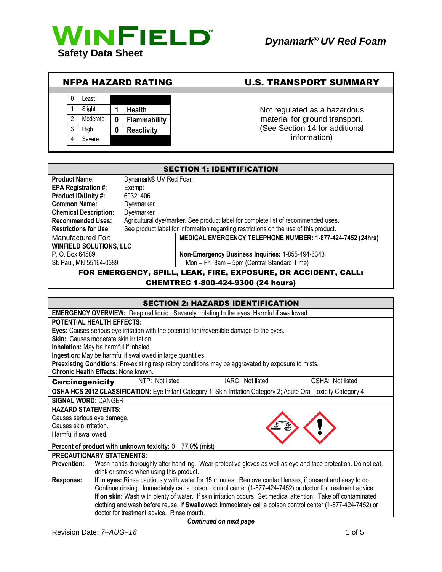

| <b>NFPA HAZARD RATING</b> |                |          |   |                     | <b>U.S. TRANSPORT SUMMARY</b>  |
|---------------------------|----------------|----------|---|---------------------|--------------------------------|
|                           |                |          |   |                     |                                |
|                           |                | ∟east    |   |                     |                                |
|                           |                | Slight   |   | <b>Health</b>       | Not regulated as a hazardous   |
|                           | $\overline{2}$ | Moderate | 0 | <b>Flammability</b> | material for ground transport. |
|                           | 3              | Hiah     |   | <b>Reactivity</b>   | (See Section 14 for additional |
|                           |                | Severe   |   |                     | information)                   |

| <b>SECTION 1: IDENTIFICATION</b>           |                       |                                                                                      |  |  |
|--------------------------------------------|-----------------------|--------------------------------------------------------------------------------------|--|--|
| <b>Product Name:</b>                       | Dynamark® UV Red Foam |                                                                                      |  |  |
| <b>EPA Registration #:</b>                 | Exempt                |                                                                                      |  |  |
| 60321406<br>Product ID/Unity #:            |                       |                                                                                      |  |  |
| <b>Common Name:</b>                        | Dye/marker            |                                                                                      |  |  |
| Dye/marker<br><b>Chemical Description:</b> |                       |                                                                                      |  |  |
| <b>Recommended Uses:</b>                   |                       | Agricultural dye/marker. See product label for complete list of recommended uses.    |  |  |
| <b>Restrictions for Use:</b>               |                       | See product label for information regarding restrictions on the use of this product. |  |  |
| Manufactured For:                          |                       | MEDICAL EMERGENCY TELEPHONE NUMBER: 1-877-424-7452 (24hrs)                           |  |  |
| <b>WINFIELD SOLUTIONS, LLC</b>             |                       |                                                                                      |  |  |
| P. O. Box 64589                            |                       | Non-Emergency Business Inquiries: 1-855-494-6343                                     |  |  |
| St. Paul, MN 55164-0589                    |                       | Mon - Fri 8am - 5pm (Central Standard Time)                                          |  |  |
|                                            |                       | FOR EMERGENCY, SPILL, LEAK, FIRE, EXPOSURE, OR ACCIDENT, CALL:                       |  |  |

CHEMTREC 1-800-424-9300 (24 hours)

| <b>SECTION 2: HAZARDS IDENTIFICATION</b>                      |                                                                                                                   |                        |                  |  |
|---------------------------------------------------------------|-------------------------------------------------------------------------------------------------------------------|------------------------|------------------|--|
|                                                               | <b>EMERGENCY OVERVIEW:</b> Deep red liquid. Severely irritating to the eyes. Harmful if swallowed.                |                        |                  |  |
| <b>POTENTIAL HEALTH EFFECTS:</b>                              |                                                                                                                   |                        |                  |  |
|                                                               | Eyes: Causes serious eye irritation with the potential for irreversible damage to the eyes.                       |                        |                  |  |
|                                                               | <b>Skin:</b> Causes moderate skin irritation.                                                                     |                        |                  |  |
|                                                               | Inhalation: May be harmful if inhaled.                                                                            |                        |                  |  |
|                                                               | Ingestion: May be harmful if swallowed in large quantities.                                                       |                        |                  |  |
|                                                               | Preexisting Conditions: Pre-existing respiratory conditions may be aggravated by exposure to mists.               |                        |                  |  |
|                                                               | <b>Chronic Health Effects: None known.</b>                                                                        |                        |                  |  |
| <b>Carcinogenicity</b>                                        | NTP: Not listed                                                                                                   | IARC: Not listed       | OSHA: Not listed |  |
|                                                               | OSHA HCS 2012 CLASSIFICATION: Eye Irritant Category 1; Skin Irritation Category 2; Acute Oral Toxicity Category 4 |                        |                  |  |
| <b>SIGNAL WORD: DANGER</b>                                    |                                                                                                                   |                        |                  |  |
| <b>HAZARD STATEMENTS:</b>                                     |                                                                                                                   |                        |                  |  |
| Causes serious eye damage.                                    |                                                                                                                   |                        |                  |  |
| Causes skin irritation.                                       |                                                                                                                   |                        |                  |  |
| Harmful if swallowed.                                         |                                                                                                                   |                        |                  |  |
| Percent of product with unknown toxicity: $0 - 77.0\%$ (mist) |                                                                                                                   |                        |                  |  |
| <b>PRECAUTIONARY STATEMENTS:</b>                              |                                                                                                                   |                        |                  |  |
| <b>Prevention:</b>                                            | Wash hands thoroughly after handling. Wear protective gloves as well as eye and face protection. Do not eat,      |                        |                  |  |
|                                                               | drink or smoke when using this product.                                                                           |                        |                  |  |
| Response:                                                     | If in eyes: Rinse cautiously with water for 15 minutes. Remove contact lenses, if present and easy to do.         |                        |                  |  |
|                                                               | Continue rinsing. Immediately call a poison control center (1-877-424-7452) or doctor for treatment advice.       |                        |                  |  |
|                                                               | If on skin: Wash with plenty of water. If skin irritation occurs: Get medical attention. Take off contaminated    |                        |                  |  |
|                                                               | clothing and wash before reuse. If Swallowed: Immediately call a poison control center (1-877-424-7452) or        |                        |                  |  |
| doctor for treatment advice. Rinse mouth.                     |                                                                                                                   |                        |                  |  |
|                                                               |                                                                                                                   | Continued on next nano |                  |  |

*Continued on next page*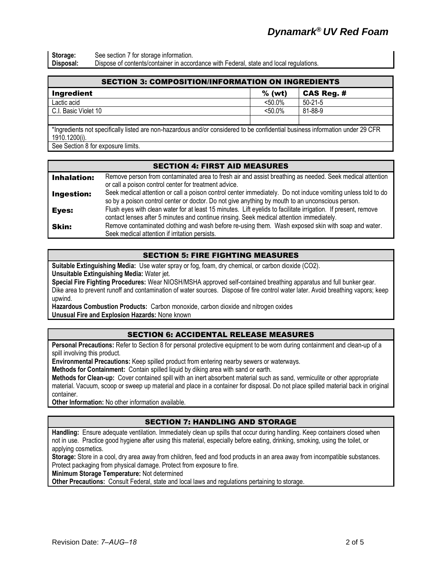**Storage:** See section 7 for storage information.<br>**Disposal:** Dispose of contents/container in accor Dispose of contents/container in accordance with Federal, state and local regulations.

| <b>SECTION 3: COMPOSITION/INFORMATION ON INGREDIENTS</b>                                                                      |            |              |  |  |
|-------------------------------------------------------------------------------------------------------------------------------|------------|--------------|--|--|
| <b>Ingredient</b>                                                                                                             | $%$ (wt)   | $CAS$ Reg. # |  |  |
| Lactic acid                                                                                                                   | $< 50.0\%$ | $50-21-5$    |  |  |
| C.I. Basic Violet 10                                                                                                          | $< 50.0\%$ | 81-88-9      |  |  |
|                                                                                                                               |            |              |  |  |
| *Ingredients not specifically listed are non-hazardous and/or considered to be confidential business information under 29 CER |            |              |  |  |

\*Ingredients not specifically listed are non-hazardous and/or considered to be confidential business information under 29 CFR 1910.1200(i).

See Section 8 for exposure limits.

## SECTION 4: FIRST AID MEASURES

| <b>Inhalation:</b> | Remove person from contaminated area to fresh air and assist breathing as needed. Seek medical attention       |
|--------------------|----------------------------------------------------------------------------------------------------------------|
|                    | or call a poison control center for treatment advice.                                                          |
| <b>Ingestion:</b>  | Seek medical attention or call a poison control center immediately. Do not induce vomiting unless told to do   |
|                    | so by a poison control center or doctor. Do not give anything by mouth to an unconscious person.               |
| Eyes:              | Flush eyes with clean water for at least 15 minutes. Lift eyelids to facilitate irrigation. If present, remove |
|                    | contact lenses after 5 minutes and continue rinsing. Seek medical attention immediately.                       |
| <b>Skin:</b>       | Remove contaminated clothing and wash before re-using them. Wash exposed skin with soap and water.             |
|                    | Seek medical attention if irritation persists.                                                                 |

## SECTION 5: FIRE FIGHTING MEASURES

**Suitable Extinguishing Media:** Use water spray or fog, foam, dry chemical, or carbon dioxide (CO2). **Unsuitable Extinguishing Media:** Water jet.

**Special Fire Fighting Procedures:** Wear NIOSH/MSHA approved self-contained breathing apparatus and full bunker gear. Dike area to prevent runoff and contamination of water sources. Dispose of fire control water later. Avoid breathing vapors; keep upwind.

**Hazardous Combustion Products:** Carbon monoxide, carbon dioxide and nitrogen oxides **Unusual Fire and Explosion Hazards:** None known

# SECTION 6: ACCIDENTAL RELEASE MEASURES

**Personal Precautions:** Refer to Section 8 for personal protective equipment to be worn during containment and clean-up of a spill involving this product.

**Environmental Precautions:** Keep spilled product from entering nearby sewers or waterways.

**Methods for Containment:** Contain spilled liquid by diking area with sand or earth.

**Methods for Clean-up:** Cover contained spill with an inert absorbent material such as sand, vermiculite or other appropriate material. Vacuum, scoop or sweep up material and place in a container for disposal. Do not place spilled material back in original container.

**Other Information:** No other information available.

#### SECTION 7: HANDLING AND STORAGE

**Handling:** Ensure adequate ventilation. Immediately clean up spills that occur during handling. Keep containers closed when not in use. Practice good hygiene after using this material, especially before eating, drinking, smoking, using the toilet, or applying cosmetics.

**Storage:** Store in a cool, dry area away from children, feed and food products in an area away from incompatible substances. Protect packaging from physical damage. Protect from exposure to fire.

**Minimum Storage Temperature:** Not determined

**Other Precautions:** Consult Federal, state and local laws and regulations pertaining to storage.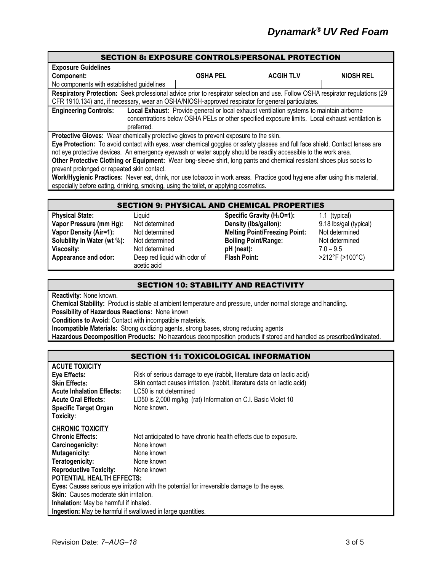#### SECTION 8: EXPOSURE CONTROLS/PERSONAL PROTECTION

| <b>Exposure Guidelines</b>                                                                                                                                                                                                                                                                                                                                             |                 |                  |                  |  |
|------------------------------------------------------------------------------------------------------------------------------------------------------------------------------------------------------------------------------------------------------------------------------------------------------------------------------------------------------------------------|-----------------|------------------|------------------|--|
| Component:                                                                                                                                                                                                                                                                                                                                                             | <b>OSHA PEL</b> | <b>ACGIH TLV</b> | <b>NIOSH REL</b> |  |
| No components with established guidelines                                                                                                                                                                                                                                                                                                                              |                 |                  |                  |  |
| Respiratory Protection: Seek professional advice prior to respirator selection and use. Follow OSHA respirator regulations (29                                                                                                                                                                                                                                         |                 |                  |                  |  |
| CFR 1910.134) and, if necessary, wear an OSHA/NIOSH-approved respirator for general particulates.                                                                                                                                                                                                                                                                      |                 |                  |                  |  |
| Local Exhaust: Provide general or local exhaust ventilation systems to maintain airborne<br><b>Engineering Controls:</b><br>concentrations below OSHA PELs or other specified exposure limits. Local exhaust ventilation is<br>preferred.                                                                                                                              |                 |                  |                  |  |
| Protective Gloves: Wear chemically protective gloves to prevent exposure to the skin.                                                                                                                                                                                                                                                                                  |                 |                  |                  |  |
| Eye Protection: To avoid contact with eyes, wear chemical goggles or safety glasses and full face shield. Contact lenses are<br>not eye protective devices. An emergency eyewash or water supply should be readily accessible to the work area.<br>Athen Buckerther Alethburg of Fordomerate Mean lower developed because to and about a contentation of the conductor |                 |                  |                  |  |

**Other Protective Clothing or Equipment:** Wear long-sleeve shirt, long pants and chemical resistant shoes plus socks to prevent prolonged or repeated skin contact.

**Work/Hygienic Practices:** Never eat, drink, nor use tobacco in work areas. Practice good hygiene after using this material, especially before eating, drinking, smoking, using the toilet, or applying cosmetics.

#### SECTION 9: PHYSICAL AND CHEMICAL PROPERTIES

**Appearance and odor:** Deep red liquid with odor of

acetic acid

**Physical State:** Liquid **Specific Gravity (H2O=1):** 1.1 (typical) **Vapor Pressure (mm Hg):** Not determined **Density (lbs/gallon):** 9.18 lbs/gal (typical) **Vapor Density (Air=1):** Not determined **Melting Point/Freezing Point:** Not determined **Solubility in Water (wt %):** Not determined **Boiling Point/Range:** Not determined **Viscosity:** Not determined **pH (neat):** 7.0 – 9.5 **Flash Point:** >212°F (>100°C)

#### SECTION 10: STABILITY AND REACTIVITY

**Reactivity:** None known.

**ACUTE TOXICITY**

**Chemical Stability:** Product is stable at ambient temperature and pressure, under normal storage and handling. **Possibility of Hazardous Reactions:** None known

**Conditions to Avoid:** Contact with incompatible materials.

**Incompatible Materials:** Strong oxidizing agents, strong bases, strong reducing agents

**Hazardous Decomposition Products:** No hazardous decomposition products if stored and handled as prescribed/indicated.

#### SECTION 11: TOXICOLOGICAL INFORMATION

| AUUTE TUAIUITT                                                                              |                                                                          |  |  |  |
|---------------------------------------------------------------------------------------------|--------------------------------------------------------------------------|--|--|--|
| <b>Eye Effects:</b>                                                                         | Risk of serious damage to eye (rabbit, literature data on lactic acid)   |  |  |  |
| <b>Skin Effects:</b>                                                                        | Skin contact causes irritation. (rabbit, literature data on lactic acid) |  |  |  |
| <b>Acute Inhalation Effects:</b>                                                            | LC50 is not determined                                                   |  |  |  |
| <b>Acute Oral Effects:</b>                                                                  | LD50 is 2,000 mg/kg (rat) Information on C.I. Basic Violet 10            |  |  |  |
| <b>Specific Target Organ</b>                                                                | None known.                                                              |  |  |  |
| Toxicity:                                                                                   |                                                                          |  |  |  |
| <b>CHRONIC TOXICITY</b>                                                                     |                                                                          |  |  |  |
| <b>Chronic Effects:</b>                                                                     | Not anticipated to have chronic health effects due to exposure.          |  |  |  |
| Carcinogenicity:                                                                            | None known                                                               |  |  |  |
| <b>Mutagenicity:</b>                                                                        | None known                                                               |  |  |  |
| Teratogenicity:                                                                             | None known                                                               |  |  |  |
| <b>Reproductive Toxicity:</b>                                                               | None known                                                               |  |  |  |
| <b>POTENTIAL HEALTH EFFECTS:</b>                                                            |                                                                          |  |  |  |
| Eyes: Causes serious eye irritation with the potential for irreversible damage to the eyes. |                                                                          |  |  |  |
| <b>Skin:</b> Causes moderate skin irritation.                                               |                                                                          |  |  |  |
| Inhalation: May be harmful if inhaled.                                                      |                                                                          |  |  |  |
| <b>Ingestion:</b> May be harmful if swallowed in large quantities.                          |                                                                          |  |  |  |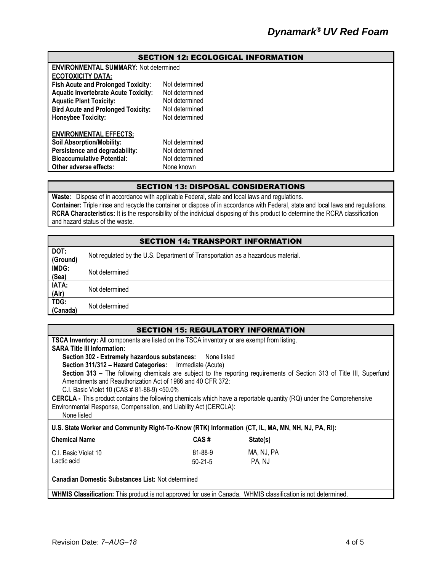| <b>SECTION 12: ECOLOGICAL INFORMATION</b>   |                                              |  |  |  |
|---------------------------------------------|----------------------------------------------|--|--|--|
|                                             | <b>ENVIRONMENTAL SUMMARY: Not determined</b> |  |  |  |
| <b>ECOTOXICITY DATA:</b>                    |                                              |  |  |  |
| <b>Fish Acute and Prolonged Toxicity:</b>   | Not determined                               |  |  |  |
| <b>Aquatic Invertebrate Acute Toxicity:</b> | Not determined                               |  |  |  |
| <b>Aquatic Plant Toxicity:</b>              | Not determined                               |  |  |  |
| <b>Bird Acute and Prolonged Toxicity:</b>   | Not determined                               |  |  |  |
| <b>Honeybee Toxicity:</b>                   | Not determined                               |  |  |  |
| <b>ENVIRONMENTAL EFFECTS:</b>               |                                              |  |  |  |
| <b>Soil Absorption/Mobility:</b>            | Not determined                               |  |  |  |
| Persistence and degradability:              | Not determined                               |  |  |  |
| <b>Bioaccumulative Potential:</b>           | Not determined                               |  |  |  |
| Other adverse effects:                      | None known                                   |  |  |  |

#### SECTION 13: DISPOSAL CONSIDERATIONS

**Waste:** Dispose of in accordance with applicable Federal, state and local laws and regulations. **Container:** Triple rinse and recycle the container or dispose of in accordance with Federal, state and local laws and regulations. **RCRA Characteristics:** It is the responsibility of the individual disposing of this product to determine the RCRA classification and hazard status of the waste.

## SECTION 14: TRANSPORT INFORMATION

| DOT:<br>(Ground) | Not regulated by the U.S. Department of Transportation as a hazardous material. |
|------------------|---------------------------------------------------------------------------------|
| IMDG:<br>(Sea)   | Not determined                                                                  |
| IATA:<br>(Air)   | Not determined                                                                  |
| TDG:<br>(Canada) | Not determined                                                                  |

| <b>SECTION 15: REGULATORY INFORMATION</b>                                                                                   |                                                                                                   |                                                                                                                        |  |  |  |
|-----------------------------------------------------------------------------------------------------------------------------|---------------------------------------------------------------------------------------------------|------------------------------------------------------------------------------------------------------------------------|--|--|--|
| <b>TSCA Inventory:</b> All components are listed on the TSCA inventory or are exempt from listing.                          |                                                                                                   |                                                                                                                        |  |  |  |
| <b>SARA Title III Information:</b>                                                                                          |                                                                                                   |                                                                                                                        |  |  |  |
| Section 302 - Extremely hazardous substances:                                                                               | None listed                                                                                       |                                                                                                                        |  |  |  |
|                                                                                                                             | Section 311/312 - Hazard Categories: Immediate (Acute)                                            |                                                                                                                        |  |  |  |
|                                                                                                                             |                                                                                                   | Section 313 - The following chemicals are subject to the reporting requirements of Section 313 of Title III, Superfund |  |  |  |
| Amendments and Reauthorization Act of 1986 and 40 CFR 372:                                                                  |                                                                                                   |                                                                                                                        |  |  |  |
| C.I. Basic Violet 10 (CAS # 81-88-9) <50.0%                                                                                 |                                                                                                   |                                                                                                                        |  |  |  |
| <b>CERCLA</b> - This product contains the following chemicals which have a reportable quantity (RQ) under the Comprehensive |                                                                                                   |                                                                                                                        |  |  |  |
| Environmental Response, Compensation, and Liability Act (CERCLA):                                                           |                                                                                                   |                                                                                                                        |  |  |  |
| None listed                                                                                                                 |                                                                                                   |                                                                                                                        |  |  |  |
|                                                                                                                             | U.S. State Worker and Community Right-To-Know (RTK) Information (CT, IL, MA, MN, NH, NJ, PA, RI): |                                                                                                                        |  |  |  |
| <b>Chemical Name</b>                                                                                                        | CAS#                                                                                              | State(s)                                                                                                               |  |  |  |
| C.I. Basic Violet 10                                                                                                        | 81-88-9                                                                                           | MA, NJ, PA                                                                                                             |  |  |  |
| Lactic acid                                                                                                                 | $50-21-5$                                                                                         | PA, NJ                                                                                                                 |  |  |  |
| <b>Canadian Domestic Substances List: Not determined</b>                                                                    |                                                                                                   |                                                                                                                        |  |  |  |
| WHMIS Classification: This product is not approved for use in Canada. WHMIS classification is not determined.               |                                                                                                   |                                                                                                                        |  |  |  |